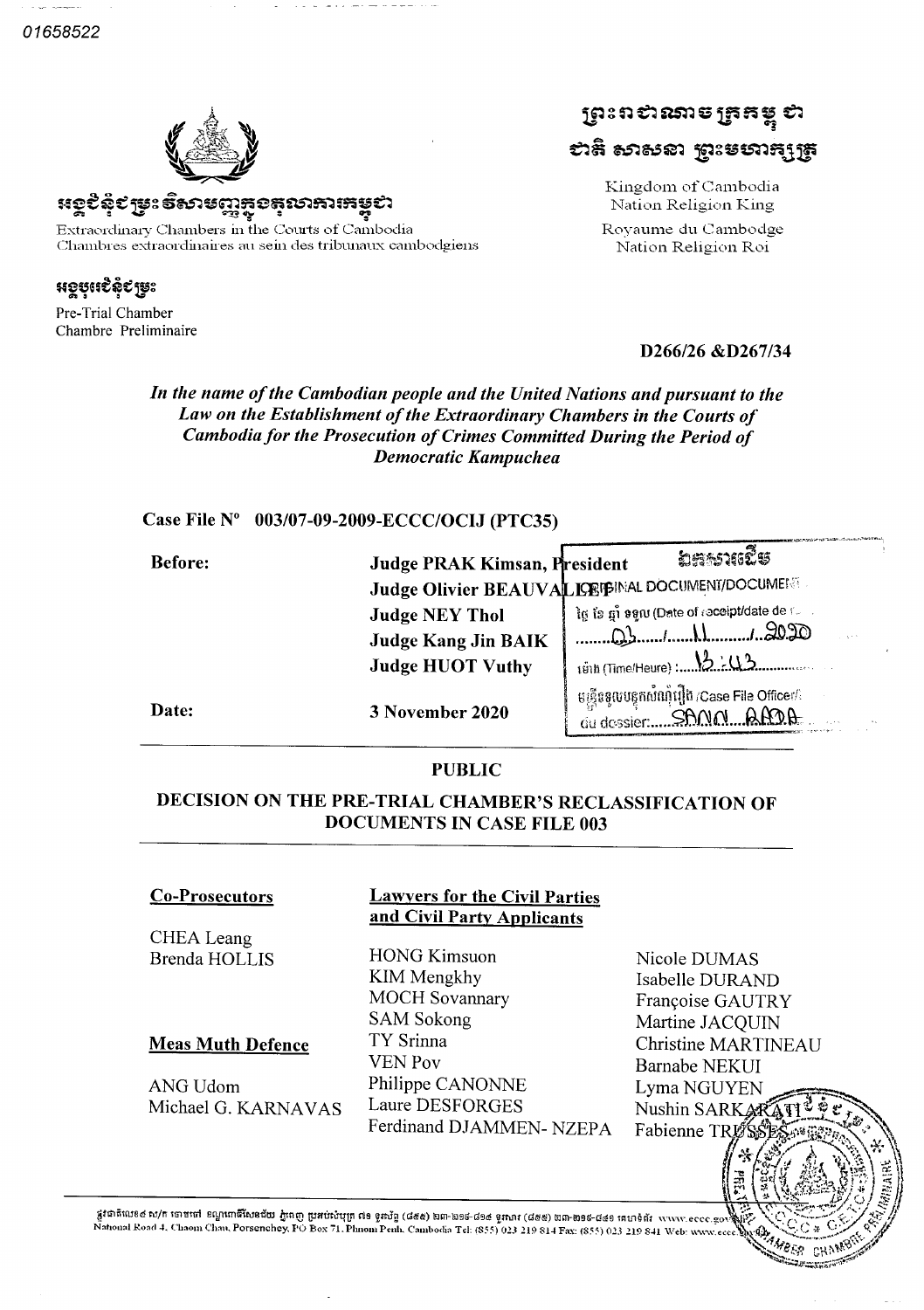01658522



<u> ಇಂಕಿಫಿಕ ಗ್ರಾಂ ಕ್ರಭಾರವಾದಿ ಮಾಡಿದ್ದಾರು</u>

Extraordinary Chambers in the Courts of Cambodia Chambres extraordinaires au sein des tribunaux cambodgiens

<u> အစ္စဗုံးဆီနိုင္ ဖ</u>ူး Pre-Trial Chamber

Chambre Preliminaire

ព្រះព*បាណ*ទេ ត្រួតម្ពុ បា សន្ទ សាទានា រងនេសាងរ៉េឌ

> Kingdom of Cambodia Nation Religion King Royaume du Cambodge Nation Religion Roi

# D266/26 &D267/34

### In the name of the Cambodian people and the United Nations and pursuant to the Law on the Establishment of the Extraordinary Chambers in the Courts of Cambodia for the Prosecution of Crimes Committed During the Period of **Democratic Kampuchea**

# Case File Nº 003/07-09-2009-ECCC/OCIJ (PTC35)

| <b>Before:</b> | Judge PRAK Kimsan, President                                                   | ຸ່ລະກະລາແຂີ້ <i>ແ</i>                                                                     |
|----------------|--------------------------------------------------------------------------------|-------------------------------------------------------------------------------------------|
|                |                                                                                | Judge Olivier BEAUVALIOPERMAL DOCUMENT/DOCUMENT                                           |
|                | <b>Judge NEY Thol</b><br><b>Judge Kang Jin BAIK</b><br><b>Judge HUOT Vuthy</b> | ໄg ເອິ ຫຼົ່າ ອອູເນ (Date of receipt/date de forma<br>CC 06.1<br>1918 (Time/Heure) : 12:03 |
| Date:          | 3 November 2020                                                                | មន្ត្រីនទួលបន្ទុកសំណុំរឿង /Case File Officer/<br>du dossier:                              |

#### **PUBLIC**

# DECISION ON THE PRE-TRIAL CHAMBER'S RECLASSIFICATION OF **DOCUMENTS IN CASE FILE 003**

#### **Co-Prosecutors**

CHEA Leang **Brenda HOLLIS** 

#### **Meas Muth Defence**

ANG Udom Michael G. KARNAVAS

### **Lawyers for the Civil Parties** and Civil Party Applicants

**HONG Kimsuon** KIM Mengkhy **MOCH Sovannary SAM Sokong** TY Srinna **VEN Pov** Philippe CANONNE Laure DESFORGES Ferdinand DJAMMEN-NZEPA

Nicole DUMAS Isabelle DURAND Françoise GAUTRY Martine JACOUIN Christine MARTINEAU **Barnabe NEKUI** Lyma NGUYEN Nushin SARKA Fabienne TRU

> MBER -cut

ន្លូវជាតិលេខ៤ ស/ក ចោមទៅ ខណ្ឌពោធិ៍សែនជ័យ ភ្នំពេញ ប្រអប់សំបុត្រ ៧១ ទូរស័ព្ទ (៨៥៥) ២៣-២១៥-៩២២ ២៣-២១៩-៨៤១ គេហទំព័រ<br>National Road 4, Chaom Chau, Porsenchey, PO Box 71, Phnom Penh, Cambodia Tel: (855) 023 219 814 Fax: (855) 023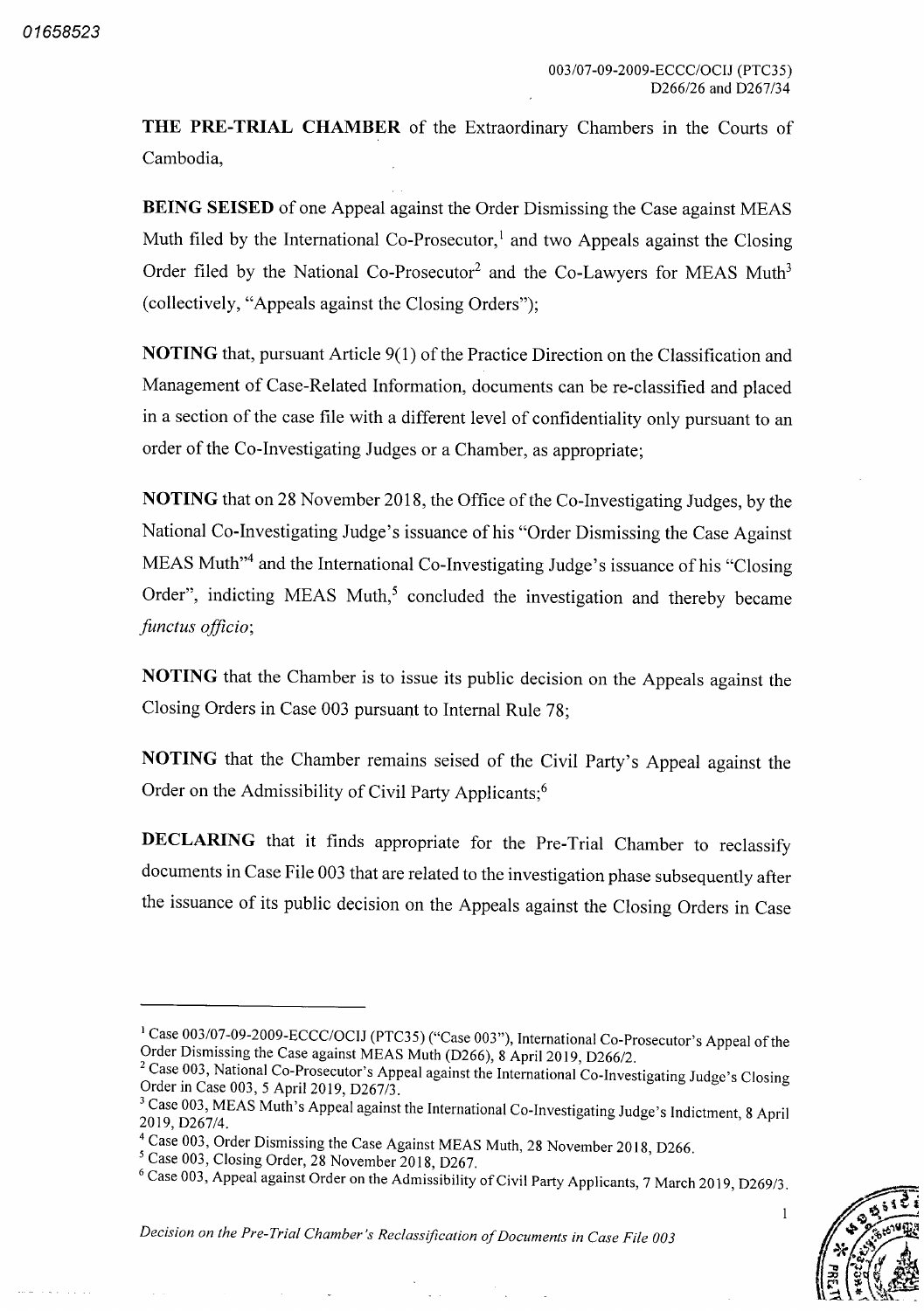THE PRE-TRIAL CHAMBER of the Extraordinary Chambers in the Courts of Cambodia

BEING SEISED of one Appeal against the Order Dismissing the Case against MEAS Muth filed by the International Co-Prosecutor,<sup>1</sup> and two Appeals against the Closing Order filed by the National Co-Prosecutor<sup>2</sup> and the Co-Lawyers for MEAS Muth<sup>3</sup> (collectively, "Appeals against the Closing Orders");

NOTING that, pursuant Article 9(1) of the Practice Direction on the Classification and Management of Case-Related Information, documents can be re-classified and placed in a section of the case file with a different level of confidentiality only pursuant to an order of the Co-Investigating Judges or a Chamber, as appropriate;

NOTING that on 28 November 2018, the Office of the Co-Investigating Judges, by the National Co-Investigating Judge's issuance of his "Order Dismissing the Case Against MEAS Muth"<sup>4</sup> and the International Co-Investigating Judge's issuance of his "Closing Order", indicting MEAS Muth,<sup>5</sup> concluded the investigation and thereby became functus officio;

NOTING that the Chamber is to issue its public decision on the Appeals against the Closing Orders in Case 003 pursuant to Internal Rule 78

NOTING that the Chamber remains seised of the Civil Party's Appeal against the Order on the Admissibility of Civil Party Applicants;<sup>6</sup>

DECLARING that it finds appropriate for the Pre-Trial Chamber to reclassify documents in Case File <sup>003</sup> that are related to the investigation phase subsequently after the issuance of its public decision on the Appeals against the Closing Orders in Case

Decision on the Pre-Trial Chamber's Reclassification of Documents in Case File 003

 $\mathbf{1}$ 

<sup>&</sup>lt;sup>1</sup> Case 003/07-09-2009-ECCC/OCIJ (PTC35) ("Case 003"), International Co-Prosecutor's Appeal of the Order Dismissing the Case against MEAS Muth (D266), 8 April 2019, D266/2.

<sup>&</sup>lt;sup>2</sup> Case 003, National Co-Prosecutor's Appeal against the International Co-Investigating Judge's Closing Order in Case 003, 5 April 2019, D267/3.

<sup>&</sup>lt;sup>3</sup> Case 003, MEAS Muth's Appeal against the International Co-Investigating Judge's Indictment, 8 April 2019, D267/4.

<sup>&</sup>lt;sup>4</sup> Case 003, Order Dismissing the Case Against MEAS Muth, 28 November 2018, D266.

 $5$  Case 003, Closing Order, 28 November 2018, D267.

<sup>&</sup>lt;sup>6</sup> Case 003, Appeal against Order on the Admissibility of Civil Party Applicants, 7 March 2019, D269/3.